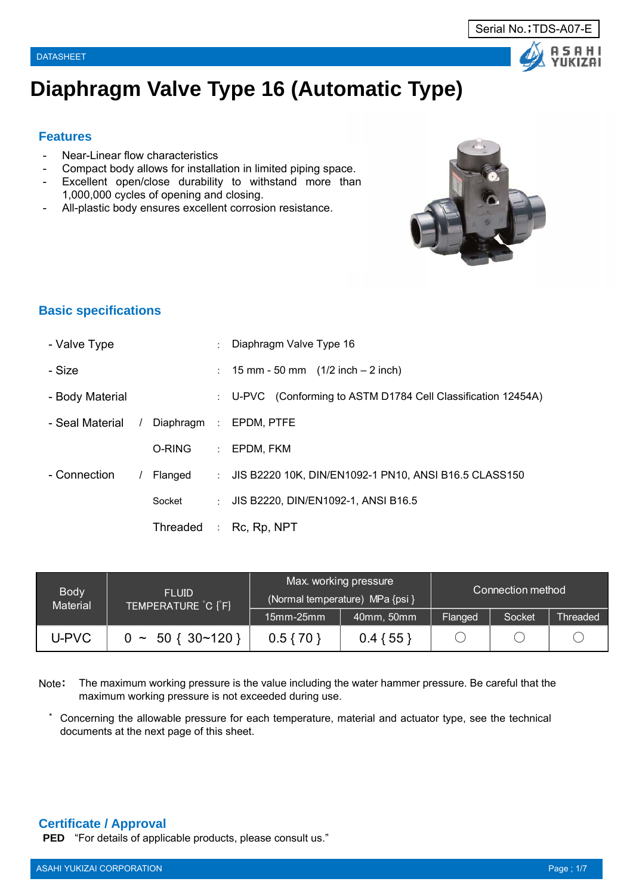# **Diaphragm Valve Type 16 (Automatic Type)**

## **Features**

- Near-Linear flow characteristics
- Compact body allows for installation in limited piping space.
- Excellent open/close durability to withstand more than 1,000,000 cycles of opening and closing.
- All-plastic body ensures excellent corrosion resistance.



# **Basic specifications**

| - Valve Type    |          |            |                               | Diaphragm Valve Type 16                                                 |
|-----------------|----------|------------|-------------------------------|-------------------------------------------------------------------------|
| - Size          |          |            |                               | : $15 \text{ mm} - 50 \text{ mm}$ $(1/2 \text{ inch} - 2 \text{ inch})$ |
| - Body Material |          |            | $\mathcal{L}$                 | U-PVC (Conforming to ASTM D1784 Cell Classification 12454A)             |
| - Seal Material | $\prime$ | Diaphragm: |                               | EPDM, PTFE                                                              |
|                 |          | O-RING     | $\mathcal{L}^{\mathcal{L}}$ . | EPDM. FKM                                                               |
| - Connection    |          | Flanged    | $\mathbb{R}^{\mathbb{Z}}$     | JIS B2220 10K, DIN/EN1092-1 PN10, ANSI B16.5 CLASS150                   |
|                 |          | Socket     | $\mathbb{R}^{\mathbb{Z}}$     | JIS B2220, DIN/EN1092-1, ANSI B16.5                                     |
|                 |          | Threaded   |                               | $:$ Rc, Rp, NPT                                                         |

| <b>Body</b><br><b>Material</b> | <b>FLUID</b><br>TEMPERATURE C [F] |                  | Max. working pressure<br>(Normal temperature) MPa {psi } | Connection method |        |                 |  |
|--------------------------------|-----------------------------------|------------------|----------------------------------------------------------|-------------------|--------|-----------------|--|
|                                |                                   | $15$ mm $-25$ mm | 40mm, 50mm                                               | Flanged           | Socket | <b>Threaded</b> |  |
| U-PVC                          | $0 \sim 50 \{30 \times 120\}$     | $0.5\{70\}$      | $0.4\{55\}$                                              |                   |        |                 |  |

Note: The maximum working pressure is the value including the water hammer pressure. Be careful that the maximum working pressure is not exceeded during use.

\* Concerning the allowable pressure for each temperature, material and actuator type, see the technical documents at the next page of this sheet.

## **Certificate / Approval**

**PED** "For details of applicable products, please consult us."



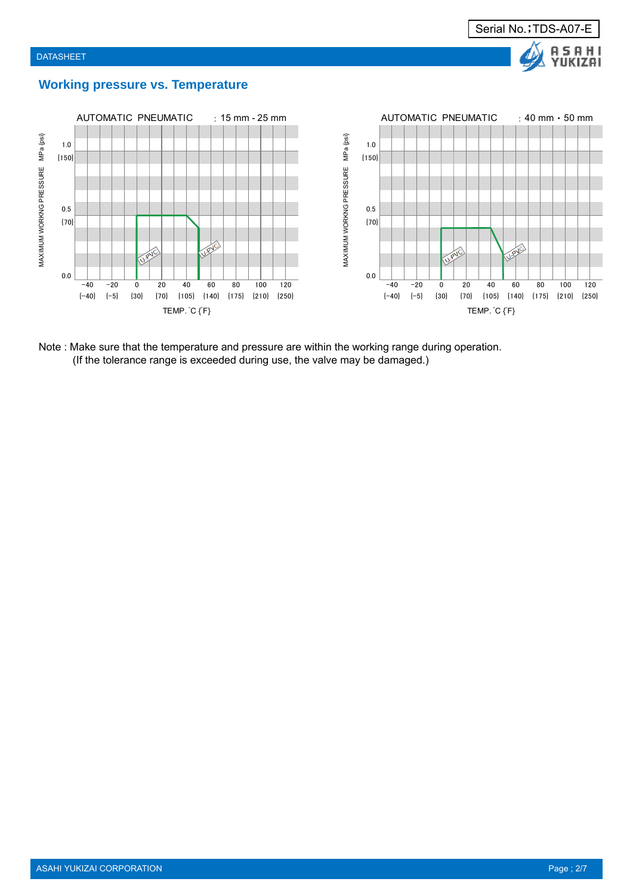



## **Working pressure vs. Temperature**



Note : Make sure that the temperature and pressure are within the working range during operation. (If the tolerance range is exceeded during use, the valve may be damaged.)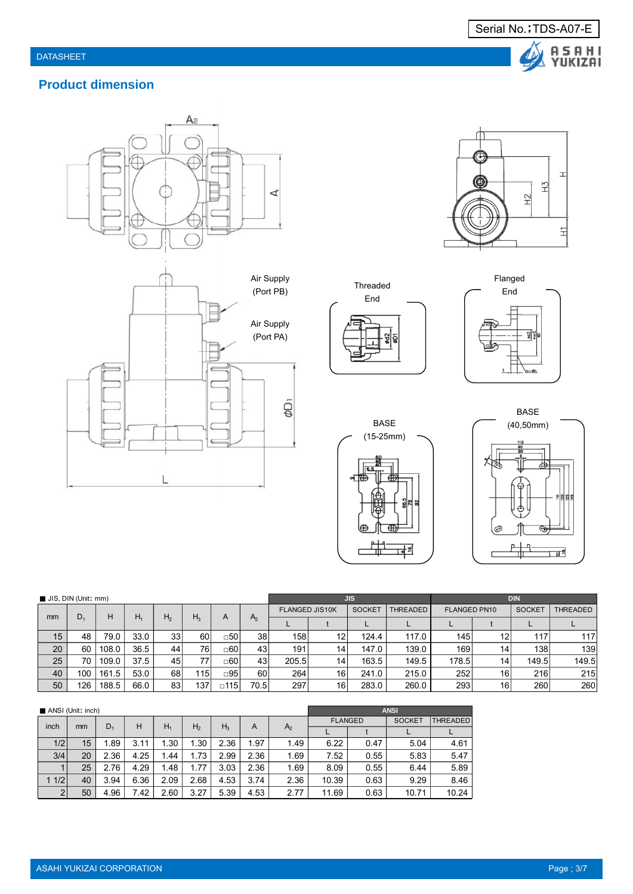







Flanged<br>F End

Serial No.; TDS-A07-E

Δ

A S A H I<br>YUKIZAI

Threaded End £ ā







| JIS, DIN (Unit: mm) |                |       |       |                 |       |               | <b>JIS</b>     |                       |                 |               | <b>DIN</b>      |                     |    |               |                 |
|---------------------|----------------|-------|-------|-----------------|-------|---------------|----------------|-----------------------|-----------------|---------------|-----------------|---------------------|----|---------------|-----------------|
| mm                  | D <sub>1</sub> | H     |       |                 |       |               |                | <b>FLANGED JIS10K</b> |                 | <b>SOCKET</b> | <b>THREADED</b> | <b>FLANGED PN10</b> |    | <b>SOCKET</b> | <b>THREADED</b> |
|                     |                |       | $H_1$ | H <sub>2</sub>  | $H_3$ | A             | A <sub>2</sub> |                       |                 |               |                 |                     |    |               |                 |
| 15                  | 48             | 79.0  | 33.0  | 33              | 60    | $\Box 50$     | 38             | 158                   | 12              | 124.4         | 117.0           | 145                 | 12 | 117           | 117             |
| 20                  | 60             | 108.0 | 36.5  | 44              | 76    | $\Box 60$     | 43             | 191                   | 14 <sub>1</sub> | 147.0         | 139.0           | 169                 | 14 | 138           | 139             |
| 25                  | 70             | 109.0 | 37.5  | 45              | 77    | □60           | 43             | 205.5                 | 14 <sub>1</sub> | 163.5         | 149.5           | 178.5               | 14 | 149.5         | 149.5           |
| 40                  | 100            | 161.5 | 53.0  | 68              | 115   | $\square$ 95  | 60             | 264                   | 16 <sup>1</sup> | 241.0         | 215.0           | 252                 | 16 | 216           | 215             |
| 50                  | 126            | 188.5 | 66.0  | 83 <sub>1</sub> | 137   | $\square$ 115 | 70.5           | 297                   | 16 <sup>1</sup> | 283.0         | 260.0           | 293                 | 16 | 260           | 260             |

|      | ANSI (Unit: inch) |       |      |       |                |       | <b>ANSI</b> |                |                |      |               |          |
|------|-------------------|-------|------|-------|----------------|-------|-------------|----------------|----------------|------|---------------|----------|
|      |                   |       | н    | $H_1$ |                |       |             |                | <b>FLANGED</b> |      | <b>SOCKET</b> | THREADED |
| inch | mm                | $D_1$ |      |       | H <sub>2</sub> | $H_3$ | A           | A <sub>2</sub> |                |      |               |          |
| 1/2  | 15                | .89   | 3.11 | 1.30  | 1.30           | 2.36  | 1.97        | 1.49           | 6.22           | 0.47 | 5.04          | 4.61     |
| 3/4  | 20                | 2.36  | 4.25 | 1.44  | 1.73           | 2.99  | 2.36        | 1.69           | 7.52           | 0.55 | 5.83          | 5.47     |
|      | 25                | 2.76  | 4.29 | 1.48  | 1.77           | 3.03  | 2.36        | 1.69           | 8.09           | 0.55 | 6.44          | 5.89     |
| 1/2  | 40                | 3.94  | 6.36 | 2.09  | 2.68           | 4.53  | 3.74        | 2.36           | 10.39          | 0.63 | 9.29          | 8.46     |
| 2    | 50                | 4.96  | 7.42 | 2.60  | 3.27           | 5.39  | 4.53        | 2.77           | 11.69          | 0.63 | 10.71         | 10.24    |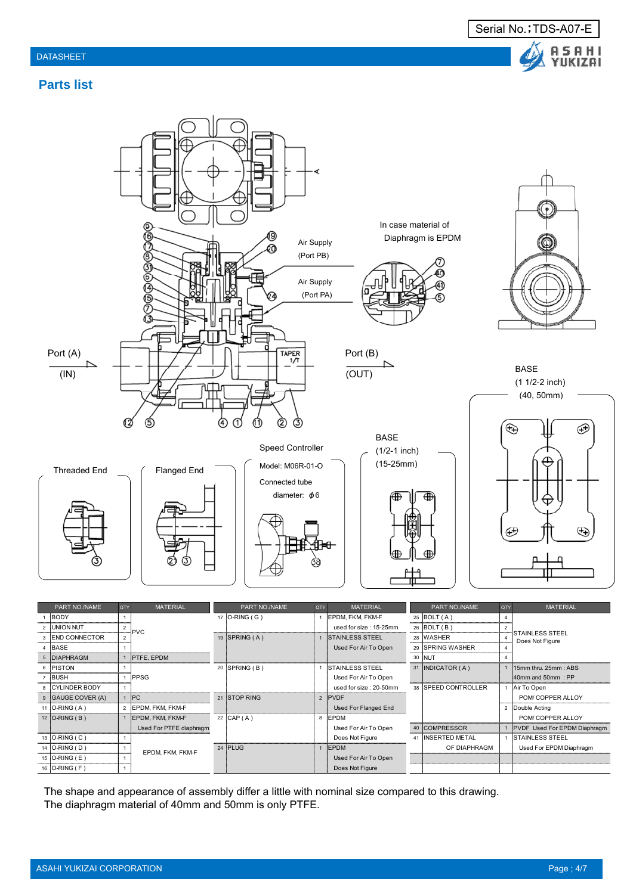



# **Parts list**



| 8 IU ILINUER DUU I |                         |                      | used for size . Zu-Suitiit | 38 ISPEED GUINI RULLER | IAII TU ODEIT                |
|--------------------|-------------------------|----------------------|----------------------------|------------------------|------------------------------|
| 9 GAUGE COVER (A)  | PC                      | 21 STOP RING         | 2 PVDF                     |                        | POM/ COPPER ALLOY            |
| 11 $ O-RING(A) $   | <b>EPDM. FKM. FKM-F</b> |                      | Used For Flanged End       |                        | 2 Double Acting              |
| $12$ O-RING (B)    | EPDM. FKM. FKM-F        | 22 $\mathsf{CAP}(A)$ | 8 EPDM                     |                        | POM/ COPPER ALLOY            |
|                    | Used For PTFE diaphragm |                      | Used For Air To Open       | 40 COMPRESSOR          | PVDF Used For EPDM Diaphragm |
| 13 O-RING ( C )    |                         |                      | Does Not Figure            | 41 INSERTED METAL      | <b>ISTAINLESS STEEL</b>      |
| 14 O-RING (D)      | EPDM. FKM. FKM-F        | 24 PLUG              | <b>IEPDM</b>               | OF DIAPHRAGM           | Used For EPDM Diaphragm      |
| 15 O-RING (E)      |                         |                      | Used For Air To Open       |                        |                              |
| 16 $O-RING$ (F)    |                         |                      | Does Not Figure            |                        |                              |
|                    |                         |                      |                            |                        |                              |

The shape and appearance of assembly differ a little with nominal size compared to this drawing. The diaphragm material of 40mm and 50mm is only PTFE.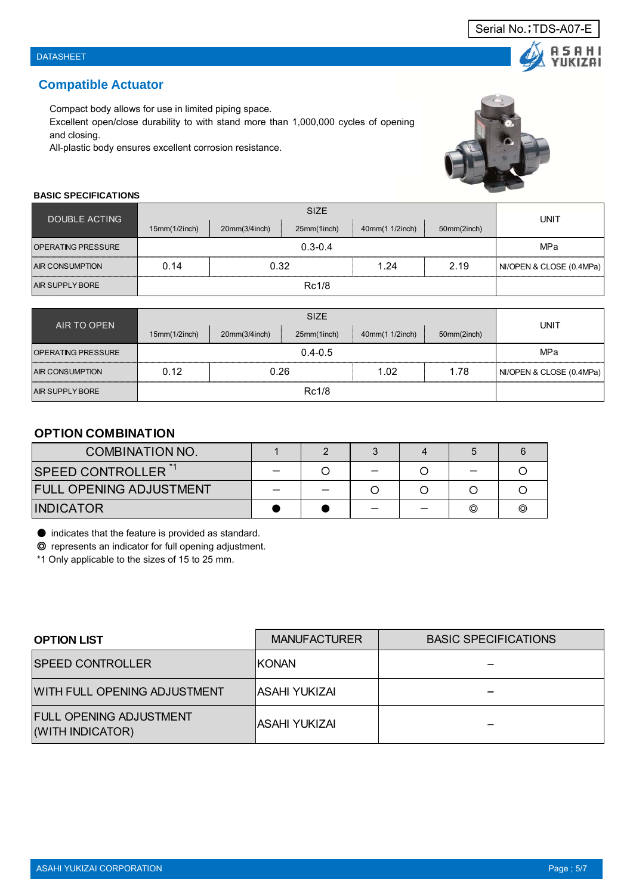**UKIZAI** 

## **Compatible Actuator**

Compact body allows for use in limited piping space.

Excellent open/close durability to with stand more than 1,000,000 cycles of opening and closing.

All-plastic body ensures excellent corrosion resistance.



#### **BASIC SPECIFICATIONS**

| DOUBLE ACTING             |               |               |             |                 |             |                          |  |  |  |  |  |
|---------------------------|---------------|---------------|-------------|-----------------|-------------|--------------------------|--|--|--|--|--|
|                           | 15mm(1/2inch) | 20mm(3/4inch) | 25mm(1inch) | 40mm(1 1/2inch) | 50mm(2inch) | UNIT                     |  |  |  |  |  |
| <b>OPERATING PRESSURE</b> |               | $0.3 - 0.4$   |             |                 |             |                          |  |  |  |  |  |
| <b>AIR CONSUMPTION</b>    | 0.14          | 0.32          |             | 1.24            | 2.19        | NI/OPEN & CLOSE (0.4MPa) |  |  |  |  |  |
| <b>AIR SUPPLY BORE</b>    |               |               |             |                 |             |                          |  |  |  |  |  |

| AIR TO OPEN               |               | UNIT          |             |                 |             |                          |
|---------------------------|---------------|---------------|-------------|-----------------|-------------|--------------------------|
|                           | 15mm(1/2inch) | 20mm(3/4inch) | 25mm(1inch) | 40mm(1 1/2inch) | 50mm(2inch) |                          |
| <b>OPERATING PRESSURE</b> |               | MPa           |             |                 |             |                          |
| <b>AIR CONSUMPTION</b>    | 0.12          | 0.26          |             | 1.02            | 1.78        | NI/OPEN & CLOSE (0.4MPa) |
| <b>AIR SUPPLY BORE</b>    |               |               |             |                 |             |                          |

# **OPTION COMBINATION**

| <b>COMBINATION NO.</b>         |  |  |   |   |
|--------------------------------|--|--|---|---|
| <b>SPEED CONTROLLER</b>        |  |  |   |   |
| <b>FULL OPENING ADJUSTMENT</b> |  |  |   |   |
| <b>INDICATOR</b>               |  |  | ⊚ | ⊚ |

● indicates that the feature is provided as standard.

◎ represents an indicator for full opening adjustment.

\*1 Only applicable to the sizes of 15 to 25 mm.

| <b>OPTION LIST</b>                                 | <b>MANUFACTURER</b> | <b>BASIC SPECIFICATIONS</b> |
|----------------------------------------------------|---------------------|-----------------------------|
| <b>SPEED CONTROLLER</b>                            | <b>IKONAN</b>       |                             |
| <b>WITH FULL OPENING ADJUSTMENT</b>                | IASAHI YUKIZAI      |                             |
| <b>FULL OPENING ADJUSTMENT</b><br>(WITH INDICATOR) | IASAHI YUKIZAI      |                             |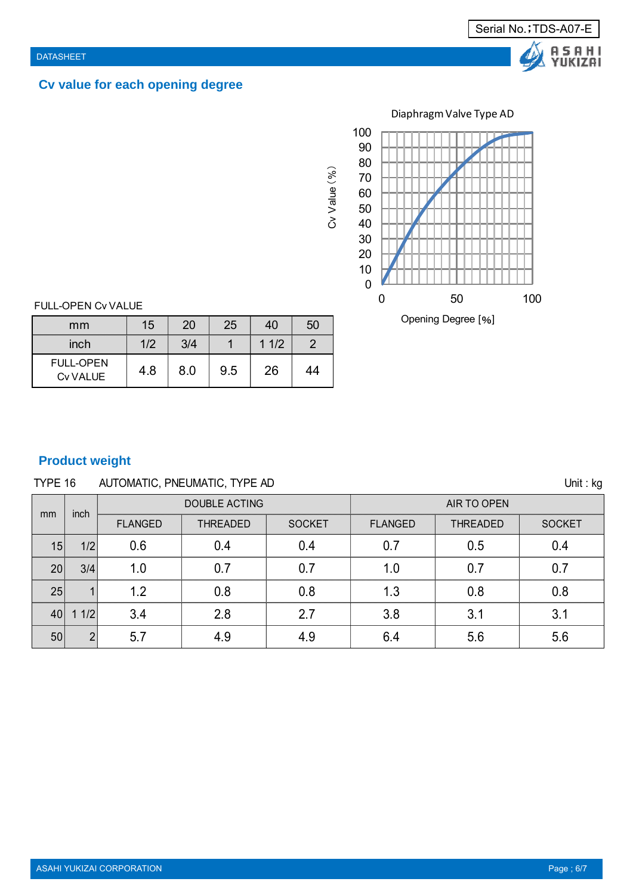# **Cv value for each opening degree**



FULL-OPEN Cv VALUE

| mm                                  | 15  | 20  | 25  | 40   | 50 |
|-------------------------------------|-----|-----|-----|------|----|
| inch                                | 1/2 | 3/4 |     | 11/2 |    |
| <b>FULL-OPEN</b><br><b>Cv VALUE</b> | 4.8 | 8.0 | 9.5 | 26   | 44 |

# **Product weight**

# TYPE 16 AUTOMATIC, PNEUMATIC, TYPE AD Unit : kg

|               | inch           |                | <b>DOUBLE ACTING</b> |               | AIR TO OPEN    |                 |               |  |  |
|---------------|----------------|----------------|----------------------|---------------|----------------|-----------------|---------------|--|--|
| <sub>mm</sub> |                | <b>FLANGED</b> | <b>THREADED</b>      | <b>SOCKET</b> | <b>FLANGED</b> | <b>THREADED</b> | <b>SOCKET</b> |  |  |
| 15            | 1/2            | 0.6            | 0.4                  | 0.4           | 0.7            | 0.5             | 0.4           |  |  |
| 20            | 3/4            | 1.0            | 0.7                  | 0.7           | 1.0            | 0.7             | 0.7           |  |  |
| 25            |                | 1.2            | 0.8                  | 0.8           | 1.3            | 0.8             | 0.8           |  |  |
| 40            | 1/2            | 3.4            | 2.8                  | 2.7           | 3.8            | 3.1             | 3.1           |  |  |
| 50            | $\overline{2}$ | 5.7            | 4.9                  | 4.9           | 6.4            | 5.6             | 5.6           |  |  |